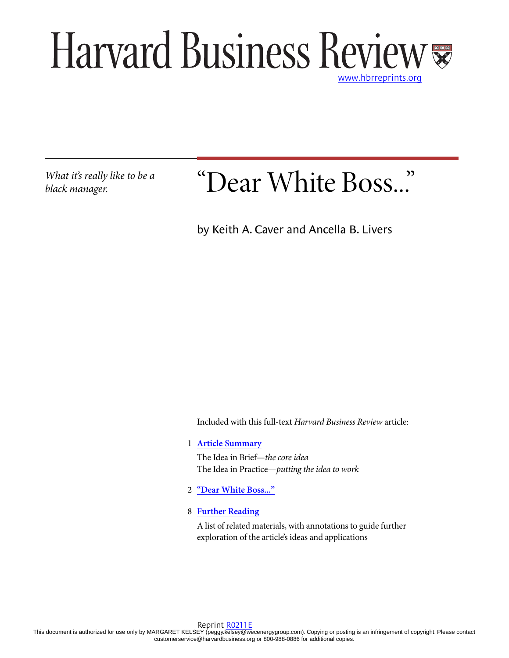## Harvard Business Review [www.hbrreprints.org](http://www.hbrreprints.org)

*What it's really like to be a black manager.*

# "Dear White Boss..."

by Keith A. Caver and Ancella B. Livers

Included with this full-text *Harvard Business Review* article:

1 **[Article Summary](#page-1-0)**

The Idea in Brief—*the core idea* The Idea in Practice—*putting the idea to work*

- 2 **["Dear White Boss..."](#page-2-0)**
- 8 **[Further Reading](#page-8-0)**

A list of related materials, with annotations to guide further exploration of the article's ideas and applications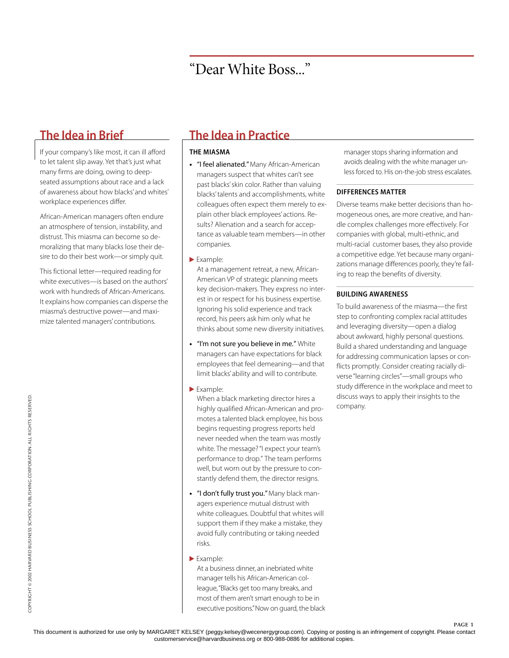<span id="page-1-0"></span>If your company's like most, it can ill afford to let talent slip away. Yet that's just what many firms are doing, owing to deepseated assumptions about race and a lack of awareness about how blacks' and whites' workplace experiences differ.

African-American managers often endure an atmosphere of tension, instability, and distrust. This miasma can become so demoralizing that many blacks lose their desire to do their best work—or simply quit.

This fictional letter—required reading for white executives—is based on the authors' work with hundreds of African-Americans. It explains how companies can disperse the miasma's destructive power—and maximize talented managers' contributions.

## **The Idea in Brief The Idea in Practice**

#### **THE MIASMA**

- **•** "I feel alienated." Many African-American managers suspect that whites can't see past blacks' skin color. Rather than valuing blacks' talents and accomplishments, white colleagues often expect them merely to explain other black employees' actions. Results? Alienation and a search for acceptance as valuable team members—in other companies.
- Example:

At a management retreat, a new, African-American VP of strategic planning meets key decision-makers. They express no interest in or respect for his business expertise. Ignoring his solid experience and track record, his peers ask him only what he thinks about some new diversity initiatives.

- **•** "I'm not sure you believe in me." White managers can have expectations for black employees that feel demeaning—and that limit blacks' ability and will to contribute.
- Example:

When a black marketing director hires a highly qualified African-American and promotes a talented black employee, his boss begins requesting progress reports he'd never needed when the team was mostly white. The message? "I expect your team's performance to drop." The team performs well, but worn out by the pressure to constantly defend them, the director resigns.

- **•** "I don't fully trust you." Many black managers experience mutual distrust with white colleagues. Doubtful that whites will support them if they make a mistake, they avoid fully contributing or taking needed risks.
- Example:

At a business dinner, an inebriated white manager tells his African-American colleague, "Blacks get too many breaks, and most of them aren't smart enough to be in executive positions." Now on guard, the black manager stops sharing information and avoids dealing with the white manager unless forced to. His on-the-job stress escalates.

### **DIFFERENCES MATTER**

Diverse teams make better decisions than homogeneous ones, are more creative, and handle complex challenges more effectively. For companies with global, multi-ethnic, and multi-racial customer bases, they also provide a competitive edge. Yet because many organizations manage differences poorly, they're failing to reap the benefits of diversity.

### **BUILDING AWARENESS**

To build awareness of the miasma—the first step to confronting complex racial attitudes and leveraging diversity—open a dialog about awkward, highly personal questions. Build a shared understanding and language for addressing communication lapses or conflicts promptly. Consider creating racially diverse "learning circles"—small groups who study difference in the workplace and meet to discuss ways to apply their insights to the company.

page 1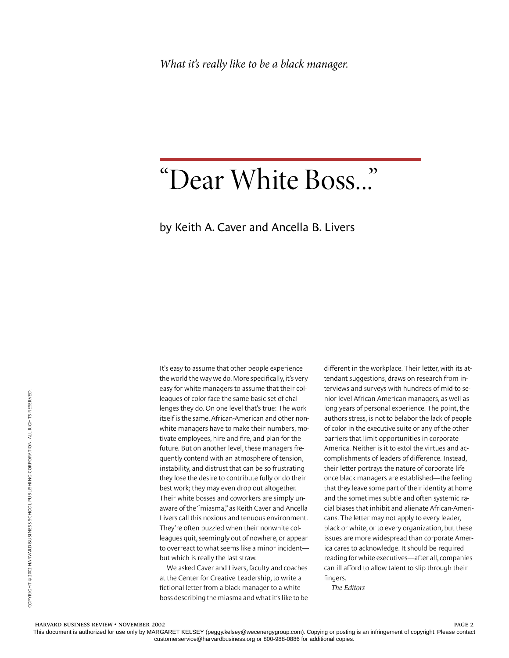## "Dear White Boss..."

### by Keith A. Caver and Ancella B. Livers

<span id="page-2-0"></span>It's easy to assume that other people experience the world the way we do. More specifically, it's very easy for white managers to assume that their colleagues of color face the same basic set of challenges they do. On one level that's true: The work itself is the same. African-American and other nonwhite managers have to make their numbers, motivate employees, hire and fire, and plan for the future. But on another level, these managers frequently contend with an atmosphere of tension, instability, and distrust that can be so frustrating they lose the desire to contribute fully or do their best work; they may even drop out altogether. Their white bosses and coworkers are simply unaware of the "miasma," as Keith Caver and Ancella Livers call this noxious and tenuous environment. They're often puzzled when their nonwhite colleagues quit, seemingly out of nowhere, or appear to overreact to what seems like a minor incident but which is really the last straw.

We asked Caver and Livers, faculty and coaches at the Center for Creative Leadership, to write a fictional letter from a black manager to a white boss describing the miasma and what it's like to be different in the workplace. Their letter, with its attendant suggestions, draws on research from interviews and surveys with hundreds of mid-to senior-level African-American managers, as well as long years of personal experience. The point, the authors stress, is not to belabor the lack of people of color in the executive suite or any of the other barriers that limit opportunities in corporate America. Neither is it to extol the virtues and accomplishments of leaders of difference. Instead, their letter portrays the nature of corporate life once black managers are established—the feeling that they leave some part of their identity at home and the sometimes subtle and often systemic racial biases that inhibit and alienate African-Americans. The letter may not apply to every leader, black or white, or to every organization, but these issues are more widespread than corporate America cares to acknowledge. It should be required reading for white executives—after all, companies can ill afford to allow talent to slip through their fingers.

*The Editors*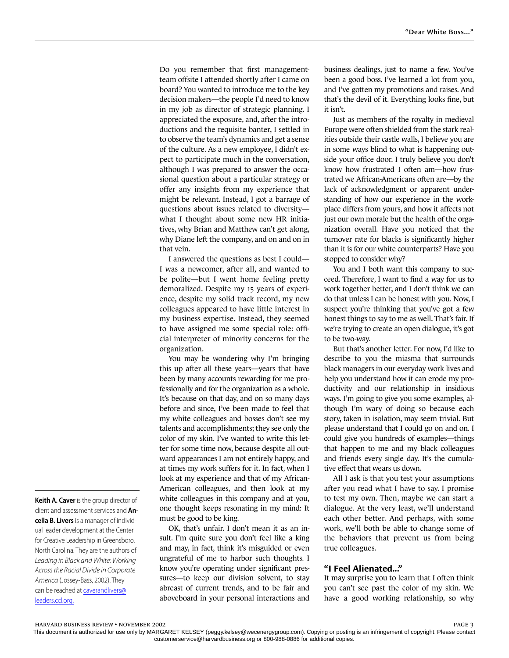Do you remember that first managementteam offsite I attended shortly after I came on board? You wanted to introduce me to the key decision makers—the people I'd need to know in my job as director of strategic planning. I appreciated the exposure, and, after the introductions and the requisite banter, I settled in to observe the team's dynamics and get a sense of the culture. As a new employee, I didn't expect to participate much in the conversation, although I was prepared to answer the occasional question about a particular strategy or offer any insights from my experience that might be relevant. Instead, I got a barrage of questions about issues related to diversity what I thought about some new HR initiatives, why Brian and Matthew can't get along, why Diane left the company, and on and on in that vein.

I answered the questions as best I could— I was a newcomer, after all, and wanted to be polite—but I went home feeling pretty demoralized. Despite my 15 years of experience, despite my solid track record, my new colleagues appeared to have little interest in my business expertise. Instead, they seemed to have assigned me some special role: official interpreter of minority concerns for the organization.

You may be wondering why I'm bringing this up after all these years—years that have been by many accounts rewarding for me professionally and for the organization as a whole. It's because on that day, and on so many days before and since, I've been made to feel that my white colleagues and bosses don't see my talents and accomplishments; they see only the color of my skin. I've wanted to write this letter for some time now, because despite all outward appearances I am not entirely happy, and at times my work suffers for it. In fact, when I look at my experience and that of my African-American colleagues, and then look at my white colleagues in this company and at you, one thought keeps resonating in my mind: It must be good to be king.

OK, that's unfair. I don't mean it as an insult. I'm quite sure you don't feel like a king and may, in fact, think it's misguided or even ungrateful of me to harbor such thoughts. I know you're operating under significant pressures—to keep our division solvent, to stay abreast of current trends, and to be fair and aboveboard in your personal interactions and

business dealings, just to name a few. You've been a good boss. I've learned a lot from you, and I've gotten my promotions and raises. And that's the devil of it. Everything looks fine, but it isn't.

Just as members of the royalty in medieval Europe were often shielded from the stark realities outside their castle walls, I believe you are in some ways blind to what is happening outside your office door. I truly believe you don't know how frustrated I often am—how frustrated we African-Americans often are—by the lack of acknowledgment or apparent understanding of how our experience in the workplace differs from yours, and how it affects not just our own morale but the health of the organization overall. Have you noticed that the turnover rate for blacks is significantly higher than it is for our white counterparts? Have you stopped to consider why?

You and I both want this company to succeed. Therefore, I want to find a way for us to work together better, and I don't think we can do that unless I can be honest with you. Now, I suspect you're thinking that you've got a few honest things to say to me as well. That's fair. If we're trying to create an open dialogue, it's got to be two-way.

But that's another letter. For now, I'd like to describe to you the miasma that surrounds black managers in our everyday work lives and help you understand how it can erode my productivity and our relationship in insidious ways. I'm going to give you some examples, although I'm wary of doing so because each story, taken in isolation, may seem trivial. But please understand that I could go on and on. I could give you hundreds of examples—things that happen to me and my black colleagues and friends every single day. It's the cumulative effect that wears us down.

All I ask is that you test your assumptions after you read what I have to say. I promise to test my own. Then, maybe we can start a dialogue. At the very least, we'll understand each other better. And perhaps, with some work, we'll both be able to change some of the behaviors that prevent us from being true colleagues.

#### **"I Feel Alienated..."**

It may surprise you to learn that I often think you can't see past the color of my skin. We have a good working relationship, so why

**Keith A. Caver** is the group director of client and assessment services and **Ancella B. Livers** is a manager of individual leader development at the Center for Creative Leadership in Greensboro, North Carolina. They are the authors of Leading in Black and White: Working Across the Racial Divide in Corporate America (Jossey-Bass, 2002). They can be reached at [caverandlivers@](mailto:caverandlivers@leaders.ccl.org.) [leaders.ccl.org.](mailto:caverandlivers@leaders.ccl.org.)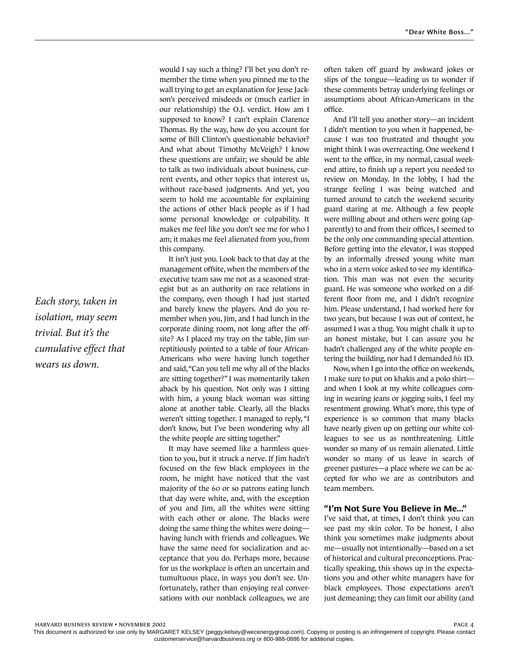would I say such a thing? I'll bet you don't remember the time when you pinned me to the wall trying to get an explanation for Jesse Jackson's perceived misdeeds or (much earlier in our relationship) the O.J. verdict. How am I supposed to know? I can't explain Clarence Thomas. By the way, how do you account for some of Bill Clinton's questionable behavior? And what about Timothy McVeigh? I know these questions are unfair; we should be able to talk as two individuals about business, current events, and other topics that interest us, without race-based judgments. And yet, you seem to hold me accountable for explaining the actions of other black people as if I had some personal knowledge or culpability. It makes me feel like you don't see me for who I am; it makes me feel alienated from you, from this company.

It isn't just you. Look back to that day at the management offsite, when the members of the executive team saw me not as a seasoned strategist but as an authority on race relations in the company, even though I had just started and barely knew the players. And do you remember when you, Jim, and I had lunch in the corporate dining room, not long after the offsite? As I placed my tray on the table, Jim surreptitiously pointed to a table of four African-Americans who were having lunch together and said, "Can you tell me why all of the blacks are sitting together?" I was momentarily taken aback by his question. Not only was I sitting with him, a young black woman was sitting alone at another table. Clearly, all the blacks weren't sitting together. I managed to reply, "I don't know, but I've been wondering why all the white people are sitting together."

It may have seemed like a harmless question to you, but it struck a nerve. If Jim hadn't focused on the few black employees in the room, he might have noticed that the vast majority of the 60 or so patrons eating lunch that day were white, and, with the exception of you and Jim, all the whites were sitting with each other or alone. The blacks were doing the same thing the whites were doing having lunch with friends and colleagues. We have the same need for socialization and acceptance that you do. Perhaps more, because for us the workplace is often an uncertain and tumultuous place, in ways you don't see. Unfortunately, rather than enjoying real conversations with our nonblack colleagues, we are

often taken off guard by awkward jokes or slips of the tongue—leading us to wonder if these comments betray underlying feelings or assumptions about African-Americans in the office.

And I'll tell you another story—an incident I didn't mention to you when it happened, because I was too frustrated and thought you might think I was overreacting. One weekend I went to the office, in my normal, casual weekend attire, to finish up a report you needed to review on Monday. In the lobby, I had the strange feeling I was being watched and turned around to catch the weekend security guard staring at me. Although a few people were milling about and others were going (apparently) to and from their offices, I seemed to be the only one commanding special attention. Before getting into the elevator, I was stopped by an informally dressed young white man who in a stern voice asked to see my identification. This man was not even the security guard. He was someone who worked on a different floor from me, and I didn't recognize him. Please understand, I had worked here for two years, but because I was out of context, he assumed I was a thug. You might chalk it up to an honest mistake, but I can assure you he hadn't challenged any of the white people entering the building, nor had I demanded *his* ID.

Now, when I go into the office on weekends, I make sure to put on khakis and a polo shirt and when I look at my white colleagues coming in wearing jeans or jogging suits, I feel my resentment growing. What's more, this type of experience is so common that many blacks have nearly given up on getting our white colleagues to see us as nonthreatening. Little wonder so many of us remain alienated. Little wonder so many of us leave in search of greener pastures—a place where we can be accepted for who we are as contributors and team members.

#### **"I'm Not Sure You Believe in Me..."**

I've said that, at times, I don't think you can see past my skin color. To be honest, I also think you sometimes make judgments about me—usually not intentionally—based on a set of historical and cultural preconceptions. Practically speaking, this shows up in the expectations you and other white managers have for black employees. Those expectations aren't just demeaning; they can limit our ability (and

*Each story, taken in isolation, may seem trivial. But it's the cumulative effect that wears us down.*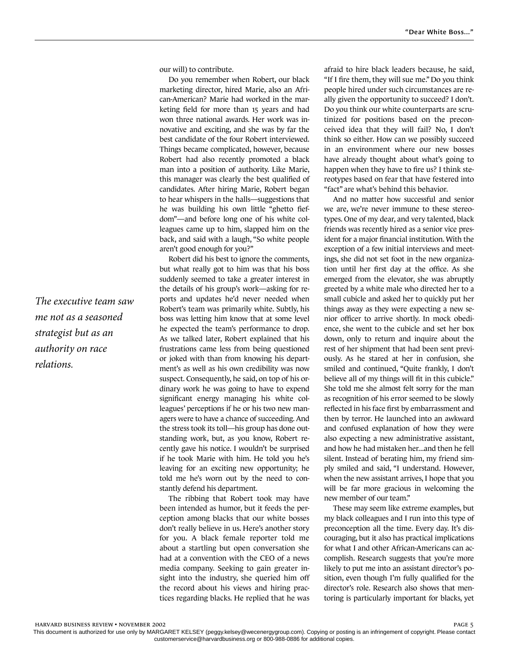our will) to contribute.

Do you remember when Robert, our black marketing director, hired Marie, also an African-American? Marie had worked in the marketing field for more than 15 years and had won three national awards. Her work was innovative and exciting, and she was by far the best candidate of the four Robert interviewed. Things became complicated, however, because Robert had also recently promoted a black man into a position of authority. Like Marie, this manager was clearly the best qualified of candidates. After hiring Marie, Robert began to hear whispers in the halls—suggestions that he was building his own little "ghetto fiefdom"—and before long one of his white colleagues came up to him, slapped him on the back, and said with a laugh, "So white people aren't good enough for you?"

Robert did his best to ignore the comments, but what really got to him was that his boss suddenly seemed to take a greater interest in the details of his group's work—asking for reports and updates he'd never needed when Robert's team was primarily white. Subtly, his boss was letting him know that at some level he expected the team's performance to drop. As we talked later, Robert explained that his frustrations came less from being questioned or joked with than from knowing his department's as well as his own credibility was now suspect. Consequently, he said, on top of his ordinary work he was going to have to expend significant energy managing his white colleagues' perceptions if he or his two new managers were to have a chance of succeeding. And the stress took its toll—his group has done outstanding work, but, as you know, Robert recently gave his notice. I wouldn't be surprised if he took Marie with him. He told you he's leaving for an exciting new opportunity; he told me he's worn out by the need to constantly defend his department.

The ribbing that Robert took may have been intended as humor, but it feeds the perception among blacks that our white bosses don't really believe in us. Here's another story for you. A black female reporter told me about a startling but open conversation she had at a convention with the CEO of a news media company. Seeking to gain greater insight into the industry, she queried him off the record about his views and hiring practices regarding blacks. He replied that he was

afraid to hire black leaders because, he said, "If I fire them, they will sue me." Do you think people hired under such circumstances are really given the opportunity to succeed? I don't. Do you think our white counterparts are scrutinized for positions based on the preconceived idea that they will fail? No, I don't think so either. How can we possibly succeed in an environment where our new bosses have already thought about what's going to happen when they have to fire us? I think stereotypes based on fear that have festered into "fact" are what's behind this behavior.

And no matter how successful and senior we are, we're never immune to these stereotypes. One of my dear, and very talented, black friends was recently hired as a senior vice president for a major financial institution. With the exception of a few initial interviews and meetings, she did not set foot in the new organization until her first day at the office. As she emerged from the elevator, she was abruptly greeted by a white male who directed her to a small cubicle and asked her to quickly put her things away as they were expecting a new senior officer to arrive shortly. In mock obedience, she went to the cubicle and set her box down, only to return and inquire about the rest of her shipment that had been sent previously. As he stared at her in confusion, she smiled and continued, "Quite frankly, I don't believe all of my things will fit in this cubicle." She told me she almost felt sorry for the man as recognition of his error seemed to be slowly reflected in his face first by embarrassment and then by terror. He launched into an awkward and confused explanation of how they were also expecting a new administrative assistant, and how he had mistaken her...and then he fell silent. Instead of berating him, my friend simply smiled and said, "I understand. However, when the new assistant arrives, I hope that you will be far more gracious in welcoming the new member of our team."

These may seem like extreme examples, but my black colleagues and I run into this type of preconception all the time. Every day. It's discouraging, but it also has practical implications for what I and other African-Americans can accomplish. Research suggests that you're more likely to put me into an assistant director's position, even though I'm fully qualified for the director's role. Research also shows that mentoring is particularly important for blacks, yet

*The executive team saw me not as a seasoned strategist but as an authority on race relations.*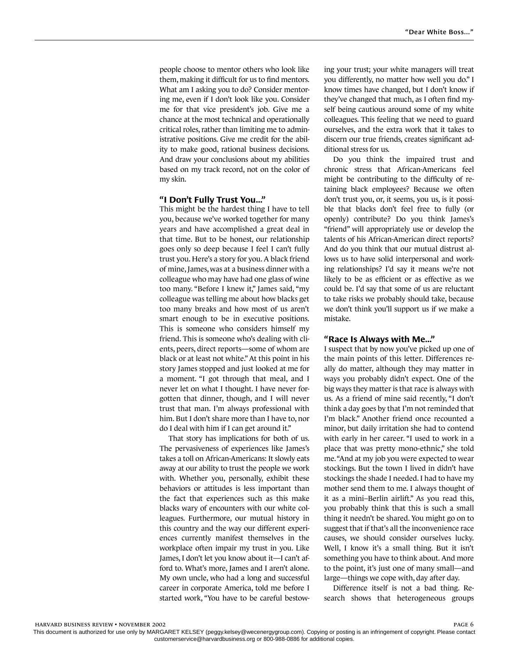people choose to mentor others who look like them, making it difficult for us to find mentors. What am I asking you to do? Consider mentoring me, even if I don't look like you. Consider me for that vice president's job. Give me a chance at the most technical and operationally critical roles, rather than limiting me to administrative positions. Give me credit for the ability to make good, rational business decisions. And draw your conclusions about my abilities based on my track record, not on the color of my skin.

#### **"I Don't Fully Trust You..."**

This might be the hardest thing I have to tell you, because we've worked together for many years and have accomplished a great deal in that time. But to be honest, our relationship goes only so deep because I feel I can't fully trust you. Here's a story for you. A black friend of mine, James, was at a business dinner with a colleague who may have had one glass of wine too many. "Before I knew it," James said, "my colleague was telling me about how blacks get too many breaks and how most of us aren't smart enough to be in executive positions. This is someone who considers himself my friend. This is someone who's dealing with clients, peers, direct reports—some of whom are black or at least not white." At this point in his story James stopped and just looked at me for a moment. "I got through that meal, and I never let on what I thought. I have never forgotten that dinner, though, and I will never trust that man. I'm always professional with him. But I don't share more than I have to, nor do I deal with him if I can get around it."

That story has implications for both of us. The pervasiveness of experiences like James's takes a toll on African-Americans: It slowly eats away at our ability to trust the people we work with. Whether you, personally, exhibit these behaviors or attitudes is less important than the fact that experiences such as this make blacks wary of encounters with our white colleagues. Furthermore, our mutual history in this country and the way our different experiences currently manifest themselves in the workplace often impair my trust in you. Like James, I don't let you know about it—I can't afford to. What's more, James and I aren't alone. My own uncle, who had a long and successful career in corporate America, told me before I started work, "You have to be careful bestowing your trust; your white managers will treat you differently, no matter how well you do." I know times have changed, but I don't know if they've changed that much, as I often find myself being cautious around some of my white colleagues. This feeling that we need to guard ourselves, and the extra work that it takes to discern our true friends, creates significant additional stress for us.

Do you think the impaired trust and chronic stress that African-Americans feel might be contributing to the difficulty of retaining black employees? Because we often don't trust you, or, it seems, you us, is it possible that blacks don't feel free to fully (or openly) contribute? Do you think James's "friend" will appropriately use or develop the talents of his African-American direct reports? And do you think that our mutual distrust allows us to have solid interpersonal and working relationships? I'd say it means we're not likely to be as efficient or as effective as we could be. I'd say that some of us are reluctant to take risks we probably should take, because we don't think you'll support us if we make a mistake.

#### **"Race Is Always with Me..."**

I suspect that by now you've picked up one of the main points of this letter. Differences really do matter, although they may matter in ways you probably didn't expect. One of the big ways they matter is that race is always with us. As a friend of mine said recently, "I don't think a day goes by that I'm not reminded that I'm black." Another friend once recounted a minor, but daily irritation she had to contend with early in her career. "I used to work in a place that was pretty mono-ethnic," she told me. "And at my job you were expected to wear stockings. But the town I lived in didn't have stockings the shade I needed. I had to have my mother send them to me. I always thought of it as a mini–Berlin airlift." As you read this, you probably think that this is such a small thing it needn't be shared. You might go on to suggest that if that's all the inconvenience race causes, we should consider ourselves lucky. Well, I know it's a small thing. But it isn't something you have to think about. And more to the point, it's just one of many small—and large—things we cope with, day after day.

Difference itself is not a bad thing. Research shows that heterogeneous groups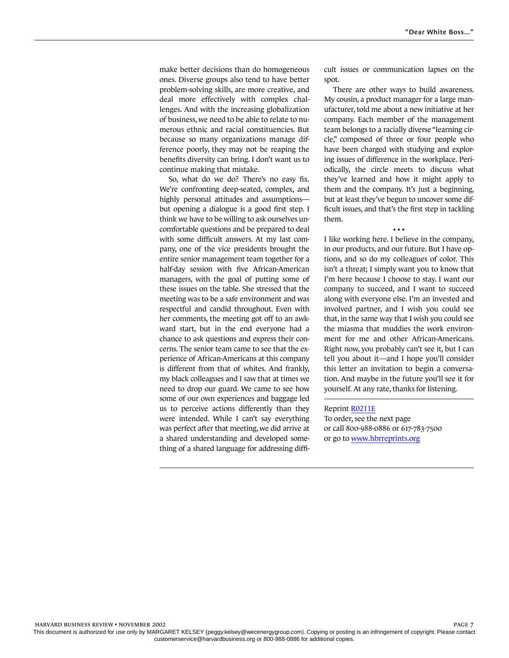make better decisions than do homogeneous ones. Diverse groups also tend to have better problem-solving skills, are more creative, and deal more effectively with complex challenges. And with the increasing globalization of business, we need to be able to relate to numerous ethnic and racial constituencies. But because so many organizations manage difference poorly, they may not be reaping the benefits diversity can bring. I don't want us to continue making that mistake.

So, what do we do? There's no easy fix. We're confronting deep-seated, complex, and highly personal attitudes and assumptions but opening a dialogue is a good first step. I think we have to be willing to ask ourselves uncomfortable questions and be prepared to deal with some difficult answers. At my last company, one of the vice presidents brought the entire senior management team together for a half-day session with five African-American managers, with the goal of putting some of these issues on the table. She stressed that the meeting was to be a safe environment and was respectful and candid throughout. Even with her comments, the meeting got off to an awkward start, but in the end everyone had a chance to ask questions and express their concerns. The senior team came to see that the experience of African-Americans at this company is different from that of whites. And frankly, my black colleagues and I saw that at times we need to drop our guard. We came to see how some of our own experiences and baggage led us to perceive actions differently than they were intended. While I can't say everything was perfect after that meeting, we did arrive at a shared understanding and developed something of a shared language for addressing difficult issues or communication lapses on the spot.

There are other ways to build awareness. My cousin, a product manager for a large manufacturer, told me about a new initiative at her company. Each member of the management team belongs to a racially diverse "learning circle," composed of three or four people who have been charged with studying and exploring issues of difference in the workplace. Periodically, the circle meets to discuss what they've learned and how it might apply to them and the company. It's just a beginning, but at least they've begun to uncover some difficult issues, and that's the first step in tackling them.

• • • I like working here. I believe in the company, in our products, and our future. But I have options, and so do my colleagues of color. This isn't a threat; I simply want you to know that I'm here because I choose to stay. I want our company to succeed, and I want to succeed along with everyone else. I'm an invested and involved partner, and I wish you could see that, in the same way that I wish you could see the miasma that muddies the work environment for me and other African-Americans. Right now, you probably can't see it, but I can tell you about it—and I hope you'll consider this letter an invitation to begin a conversation. And maybe in the future you'll see it for yourself. At any rate, thanks for listening.

Reprint [R0211E](http://harvardbusinessonline.hbsp.harvard.edu/relay.jhtml?name=itemdetail&referral=4320&id=R0211E)

To order, see the next page or call 800-988-0886 or 617-783-7500 or go to [www.hbrreprints.org](http://www.hbrreprints.org)